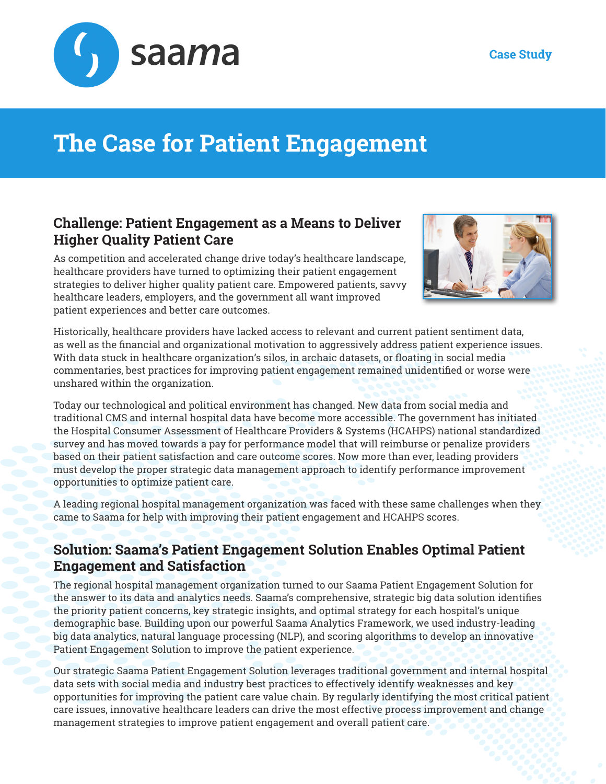



## **The Case for Patient Engagement**

## **Challenge: Patient Engagement as a Means to Deliver Higher Quality Patient Care**

As competition and accelerated change drive today's healthcare landscape, healthcare providers have turned to optimizing their patient engagement strategies to deliver higher quality patient care. Empowered patients, savvy healthcare leaders, employers, and the government all want improved patient experiences and better care outcomes.



Historically, healthcare providers have lacked access to relevant and current patient sentiment data, as well as the financial and organizational motivation to aggressively address patient experience issues. With data stuck in healthcare organization's silos, in archaic datasets, or floating in social media commentaries, best practices for improving patient engagement remained unidentified or worse were unshared within the organization.

Today our technological and political environment has changed. New data from social media and traditional CMS and internal hospital data have become more accessible. The government has initiated the Hospital Consumer Assessment of Healthcare Providers & Systems (HCAHPS) national standardized survey and has moved towards a pay for performance model that will reimburse or penalize providers based on their patient satisfaction and care outcome scores. Now more than ever, leading providers must develop the proper strategic data management approach to identify performance improvement opportunities to optimize patient care.

A leading regional hospital management organization was faced with these same challenges when they came to Saama for help with improving their patient engagement and HCAHPS scores.

## **Solution: Saama's Patient Engagement Solution Enables Optimal Patient Engagement and Satisfaction**

The regional hospital management organization turned to our Saama Patient Engagement Solution for the answer to its data and analytics needs. Saama's comprehensive, strategic big data solution identifies the priority patient concerns, key strategic insights, and optimal strategy for each hospital's unique demographic base. Building upon our powerful Saama Analytics Framework, we used industry-leading big data analytics, natural language processing (NLP), and scoring algorithms to develop an innovative Patient Engagement Solution to improve the patient experience.

Our strategic Saama Patient Engagement Solution leverages traditional government and internal hospital data sets with social media and industry best practices to effectively identify weaknesses and key opportunities for improving the patient care value chain. By regularly identifying the most critical patient care issues, innovative healthcare leaders can drive the most effective process improvement and change management strategies to improve patient engagement and overall patient care.